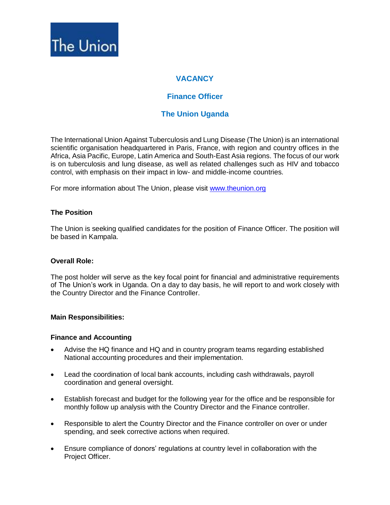

# **VACANCY**

# **Finance Officer**

# **The Union Uganda**

The International Union Against Tuberculosis and Lung Disease (The Union) is an international scientific organisation headquartered in Paris, France, with region and country offices in the Africa, Asia Pacific, Europe, Latin America and South-East Asia regions. The focus of our work is on tuberculosis and lung disease, as well as related challenges such as HIV and tobacco control, with emphasis on their impact in low- and middle-income countries.

For more information about The Union, please visit [www.theunion.org](http://www.theunion.org/)

## **The Position**

The Union is seeking qualified candidates for the position of Finance Officer. The position will be based in Kampala.

### **Overall Role:**

The post holder will serve as the key focal point for financial and administrative requirements of The Union's work in Uganda. On a day to day basis, he will report to and work closely with the Country Director and the Finance Controller.

### **Main Responsibilities:**

### **Finance and Accounting**

- Advise the HQ finance and HQ and in country program teams regarding established National accounting procedures and their implementation.
- Lead the coordination of local bank accounts, including cash withdrawals, payroll coordination and general oversight.
- Establish forecast and budget for the following year for the office and be responsible for monthly follow up analysis with the Country Director and the Finance controller.
- Responsible to alert the Country Director and the Finance controller on over or under spending, and seek corrective actions when required.
- Ensure compliance of donors' regulations at country level in collaboration with the Project Officer.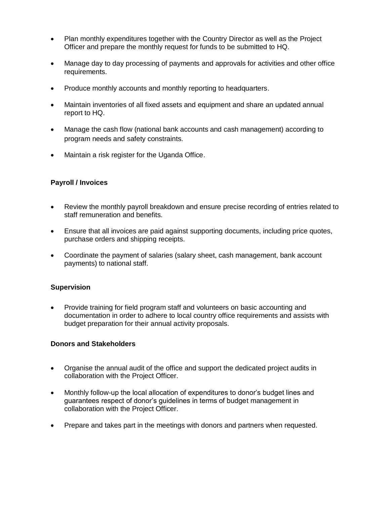- Plan monthly expenditures together with the Country Director as well as the Project Officer and prepare the monthly request for funds to be submitted to HQ.
- Manage day to day processing of payments and approvals for activities and other office requirements.
- Produce monthly accounts and monthly reporting to headquarters.
- Maintain inventories of all fixed assets and equipment and share an updated annual report to HQ.
- Manage the cash flow (national bank accounts and cash management) according to program needs and safety constraints.
- Maintain a risk register for the Uganda Office.

## **Payroll / Invoices**

- Review the monthly payroll breakdown and ensure precise recording of entries related to staff remuneration and benefits.
- Ensure that all invoices are paid against supporting documents, including price quotes, purchase orders and shipping receipts.
- Coordinate the payment of salaries (salary sheet, cash management, bank account payments) to national staff.

## **Supervision**

• Provide training for field program staff and volunteers on basic accounting and documentation in order to adhere to local country office requirements and assists with budget preparation for their annual activity proposals.

## **Donors and Stakeholders**

- Organise the annual audit of the office and support the dedicated project audits in collaboration with the Project Officer.
- Monthly follow-up the local allocation of expenditures to donor's budget lines and guarantees respect of donor's guidelines in terms of budget management in collaboration with the Project Officer.
- Prepare and takes part in the meetings with donors and partners when requested.